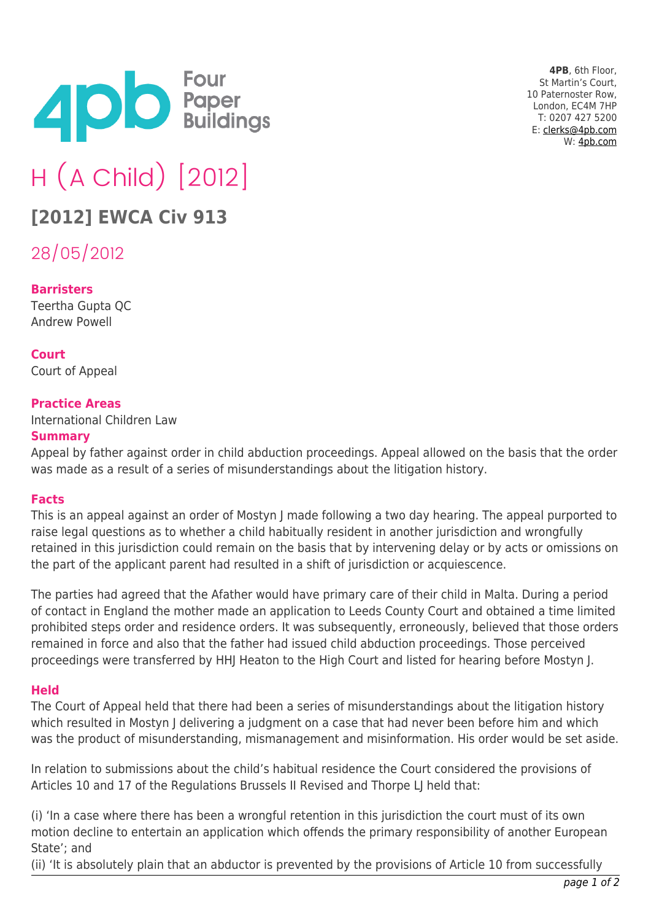

**4PB**, 6th Floor, St Martin's Court, 10 Paternoster Row, London, EC4M 7HP T: 0207 427 5200 E: [clerks@4pb.com](mailto:clerks@4pb.com) W: [4pb.com](http://4pb.com)

# H (A Child) [2012]

## **[2012] EWCA Civ 913**

28/05/2012

### **Barristers**

Teertha Gupta QC Andrew Powell

**Court** Court of Appeal

### **Practice Areas**

International Children Law

#### **Summary**

Appeal by father against order in child abduction proceedings. Appeal allowed on the basis that the order was made as a result of a series of misunderstandings about the litigation history.

### **Facts**

This is an appeal against an order of Mostyn J made following a two day hearing. The appeal purported to raise legal questions as to whether a child habitually resident in another jurisdiction and wrongfully retained in this jurisdiction could remain on the basis that by intervening delay or by acts or omissions on the part of the applicant parent had resulted in a shift of jurisdiction or acquiescence.

The parties had agreed that the Afather would have primary care of their child in Malta. During a period of contact in England the mother made an application to Leeds County Court and obtained a time limited prohibited steps order and residence orders. It was subsequently, erroneously, believed that those orders remained in force and also that the father had issued child abduction proceedings. Those perceived proceedings were transferred by HHJ Heaton to the High Court and listed for hearing before Mostyn J.

### **Held**

The Court of Appeal held that there had been a series of misunderstandings about the litigation history which resulted in Mostyn J delivering a judgment on a case that had never been before him and which was the product of misunderstanding, mismanagement and misinformation. His order would be set aside.

In relation to submissions about the child's habitual residence the Court considered the provisions of Articles 10 and 17 of the Regulations Brussels II Revised and Thorpe LJ held that:

(i) 'In a case where there has been a wrongful retention in this jurisdiction the court must of its own motion decline to entertain an application which offends the primary responsibility of another European State'; and

(ii) 'It is absolutely plain that an abductor is prevented by the provisions of Article 10 from successfully